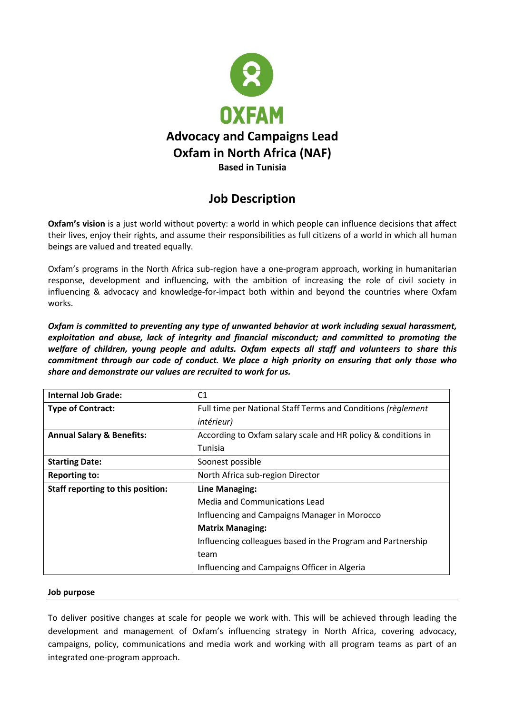

# **Job Description**

**Oxfam's vision** is a just world without poverty: a world in which people can influence decisions that affect their lives, enjoy their rights, and assume their responsibilities as full citizens of a world in which all human beings are valued and treated equally.

Oxfam's programs in the North Africa sub-region have a one-program approach, working in humanitarian response, development and influencing, with the ambition of increasing the role of civil society in influencing & advocacy and knowledge-for-impact both within and beyond the countries where Oxfam works.

*Oxfam is committed to preventing any type of unwanted behavior at work including sexual harassment, exploitation and abuse, lack of integrity and financial misconduct; and committed to promoting the welfare of children, young people and adults. Oxfam expects all staff and volunteers to share this commitment through our code of conduct. We place a high priority on ensuring that only those who share and demonstrate our values are recruited to work for us.*

| <b>Internal Job Grade:</b>           | C <sub>1</sub>                                                |
|--------------------------------------|---------------------------------------------------------------|
| <b>Type of Contract:</b>             | Full time per National Staff Terms and Conditions (règlement  |
|                                      | <i>intérieur</i> )                                            |
| <b>Annual Salary &amp; Benefits:</b> | According to Oxfam salary scale and HR policy & conditions in |
|                                      | Tunisia                                                       |
| <b>Starting Date:</b>                | Soonest possible                                              |
| <b>Reporting to:</b>                 | North Africa sub-region Director                              |
| Staff reporting to this position:    | Line Managing:                                                |
|                                      | Media and Communications Lead                                 |
|                                      | Influencing and Campaigns Manager in Morocco                  |
|                                      | <b>Matrix Managing:</b>                                       |
|                                      | Influencing colleagues based in the Program and Partnership   |
|                                      | team                                                          |
|                                      | Influencing and Campaigns Officer in Algeria                  |

#### **Job purpose**

To deliver positive changes at scale for people we work with. This will be achieved through leading the development and management of Oxfam's influencing strategy in North Africa, covering advocacy, campaigns, policy, communications and media work and working with all program teams as part of an integrated one-program approach.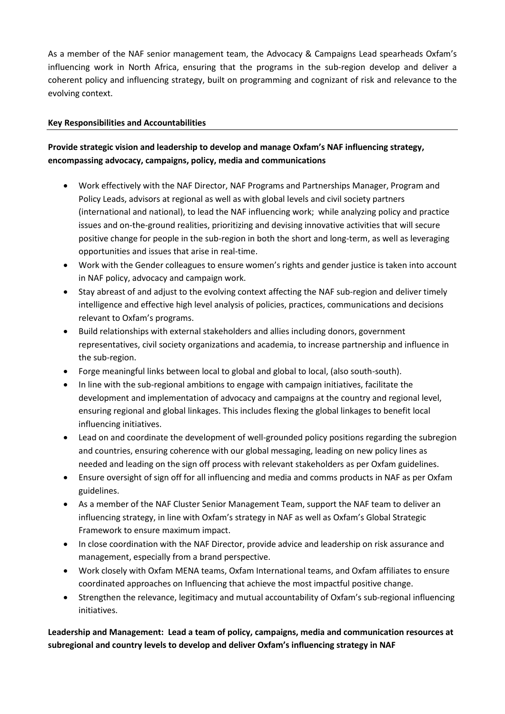As a member of the NAF senior management team, the Advocacy & Campaigns Lead spearheads Oxfam's influencing work in North Africa, ensuring that the programs in the sub-region develop and deliver a coherent policy and influencing strategy, built on programming and cognizant of risk and relevance to the evolving context.

#### **Key Responsibilities and Accountabilities**

# **Provide strategic vision and leadership to develop and manage Oxfam's NAF influencing strategy, encompassing advocacy, campaigns, policy, media and communications**

- Work effectively with the NAF Director, NAF Programs and Partnerships Manager, Program and Policy Leads, advisors at regional as well as with global levels and civil society partners (international and national), to lead the NAF influencing work; while analyzing policy and practice issues and on-the-ground realities, prioritizing and devising innovative activities that will secure positive change for people in the sub-region in both the short and long-term, as well as leveraging opportunities and issues that arise in real-time.
- Work with the Gender colleagues to ensure women's rights and gender justice is taken into account in NAF policy, advocacy and campaign work.
- Stay abreast of and adjust to the evolving context affecting the NAF sub-region and deliver timely intelligence and effective high level analysis of policies, practices, communications and decisions relevant to Oxfam's programs.
- Build relationships with external stakeholders and allies including donors, government representatives, civil society organizations and academia, to increase partnership and influence in the sub-region.
- Forge meaningful links between local to global and global to local, (also south-south).
- In line with the sub-regional ambitions to engage with campaign initiatives, facilitate the development and implementation of advocacy and campaigns at the country and regional level, ensuring regional and global linkages. This includes flexing the global linkages to benefit local influencing initiatives.
- Lead on and coordinate the development of well-grounded policy positions regarding the subregion and countries, ensuring coherence with our global messaging, leading on new policy lines as needed and leading on the sign off process with relevant stakeholders as per Oxfam guidelines.
- Ensure oversight of sign off for all influencing and media and comms products in NAF as per Oxfam guidelines.
- As a member of the NAF Cluster Senior Management Team, support the NAF team to deliver an influencing strategy, in line with Oxfam's strategy in NAF as well as Oxfam's Global Strategic Framework to ensure maximum impact.
- In close coordination with the NAF Director, provide advice and leadership on risk assurance and management, especially from a brand perspective.
- Work closely with Oxfam MENA teams, Oxfam International teams, and Oxfam affiliates to ensure coordinated approaches on Influencing that achieve the most impactful positive change.
- Strengthen the relevance, legitimacy and mutual accountability of Oxfam's sub-regional influencing initiatives.

**Leadership and Management: Lead a team of policy, campaigns, media and communication resources at subregional and country levels to develop and deliver Oxfam's influencing strategy in NAF**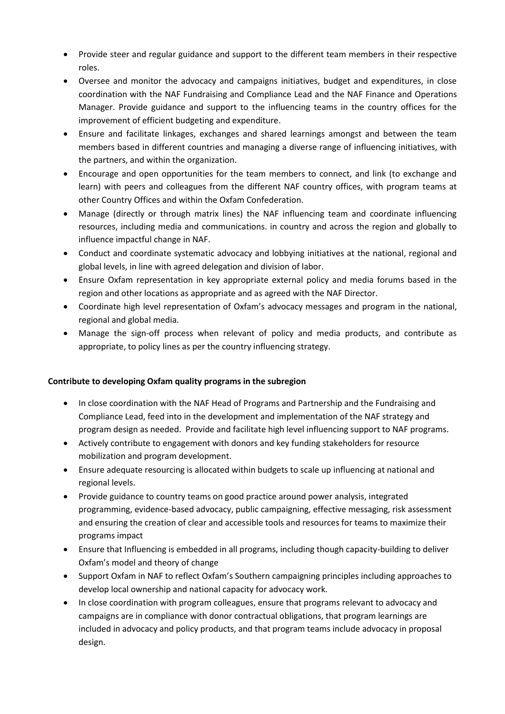- Provide steer and regular guidance and support to the different team members in their respective roles.
- Oversee and monitor the advocacy and campaigns initiatives, budget and expenditures, in close coordination with the NAF Fundraising and Compliance Lead and the NAF Finance and Operations Manager. Provide guidance and support to the influencing teams in the country offices for the improvement of efficient budgeting and expenditure.
- Ensure and facilitate linkages, exchanges and shared learnings amongst and between the team members based in different countries and managing a diverse range of influencing initiatives, with the partners, and within the organization.
- Encourage and open opportunities for the team members to connect, and link (to exchange and learn) with peers and colleagues from the different NAF country offices, with program teams at other Country Offices and within the Oxfam Confederation.
- Manage (directly or through matrix lines) the NAF influencing team and coordinate influencing resources, including media and communications. in country and across the region and globally to influence impactful change in NAF.
- Conduct and coordinate systematic advocacy and lobbying initiatives at the national, regional and global levels, in line with agreed delegation and division of labor.
- Ensure Oxfam representation in key appropriate external policy and media forums based in the region and other locations as appropriate and as agreed with the NAF Director.
- Coordinate high level representation of Oxfam's advocacy messages and program in the national, regional and global media.
- Manage the sign-off process when relevant of policy and media products, and contribute as appropriate, to policy lines as per the country influencing strategy.

#### **Contribute to developing Oxfam quality programs in the subregion**

- In close coordination with the NAF Head of Programs and Partnership and the Fundraising and Compliance Lead, feed into in the development and implementation of the NAF strategy and program design as needed. Provide and facilitate high level influencing support to NAF programs.
- Actively contribute to engagement with donors and key funding stakeholders for resource mobilization and program development.
- Ensure adequate resourcing is allocated within budgets to scale up influencing at national and regional levels.
- Provide guidance to country teams on good practice around power analysis, integrated programming, evidence-based advocacy, public campaigning, effective messaging, risk assessment and ensuring the creation of clear and accessible tools and resources for teams to maximize their programs impact
- Ensure that Influencing is embedded in all programs, including though capacity-building to deliver Oxfam's model and theory of change
- Support Oxfam in NAF to reflect Oxfam's Southern campaigning principles including approaches to develop local ownership and national capacity for advocacy work.
- In close coordination with program colleagues, ensure that programs relevant to advocacy and campaigns are in compliance with donor contractual obligations, that program learnings are included in advocacy and policy products, and that program teams include advocacy in proposal design.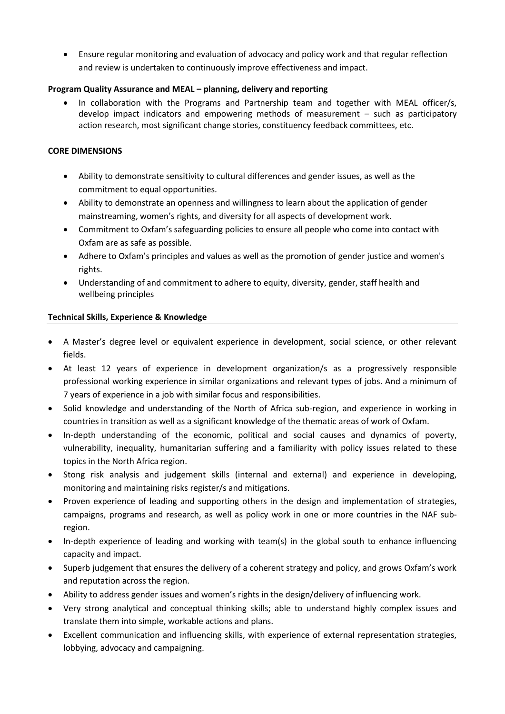Ensure regular monitoring and evaluation of advocacy and policy work and that regular reflection and review is undertaken to continuously improve effectiveness and impact.

### **Program Quality Assurance and MEAL – planning, delivery and reporting**

 In collaboration with the Programs and Partnership team and together with MEAL officer/s, develop impact indicators and empowering methods of measurement – such as participatory action research, most significant change stories, constituency feedback committees, etc.

### **CORE DIMENSIONS**

- Ability to demonstrate sensitivity to cultural differences and gender issues, as well as the commitment to equal opportunities.
- Ability to demonstrate an openness and willingness to learn about the application of gender mainstreaming, women's rights, and diversity for all aspects of development work.
- Commitment to Oxfam's safeguarding policies to ensure all people who come into contact with Oxfam are as safe as possible.
- Adhere to Oxfam's principles and values as well as the promotion of gender justice and women's rights.
- Understanding of and commitment to adhere to equity, diversity, gender, staff health and wellbeing principles

## **Technical Skills, Experience & Knowledge**

- A Master's degree level or equivalent experience in development, social science, or other relevant fields.
- At least 12 years of experience in development organization/s as a progressively responsible professional working experience in similar organizations and relevant types of jobs. And a minimum of 7 years of experience in a job with similar focus and responsibilities.
- Solid knowledge and understanding of the North of Africa sub-region, and experience in working in countries in transition as well as a significant knowledge of the thematic areas of work of Oxfam.
- In-depth understanding of the economic, political and social causes and dynamics of poverty, vulnerability, inequality, humanitarian suffering and a familiarity with policy issues related to these topics in the North Africa region.
- Stong risk analysis and judgement skills (internal and external) and experience in developing, monitoring and maintaining risks register/s and mitigations.
- Proven experience of leading and supporting others in the design and implementation of strategies, campaigns, programs and research, as well as policy work in one or more countries in the NAF subregion.
- In-depth experience of leading and working with team(s) in the global south to enhance influencing capacity and impact.
- Superb judgement that ensures the delivery of a coherent strategy and policy, and grows Oxfam's work and reputation across the region.
- Ability to address gender issues and women's rights in the design/delivery of influencing work.
- Very strong analytical and conceptual thinking skills; able to understand highly complex issues and translate them into simple, workable actions and plans.
- Excellent communication and influencing skills, with experience of external representation strategies, lobbying, advocacy and campaigning.